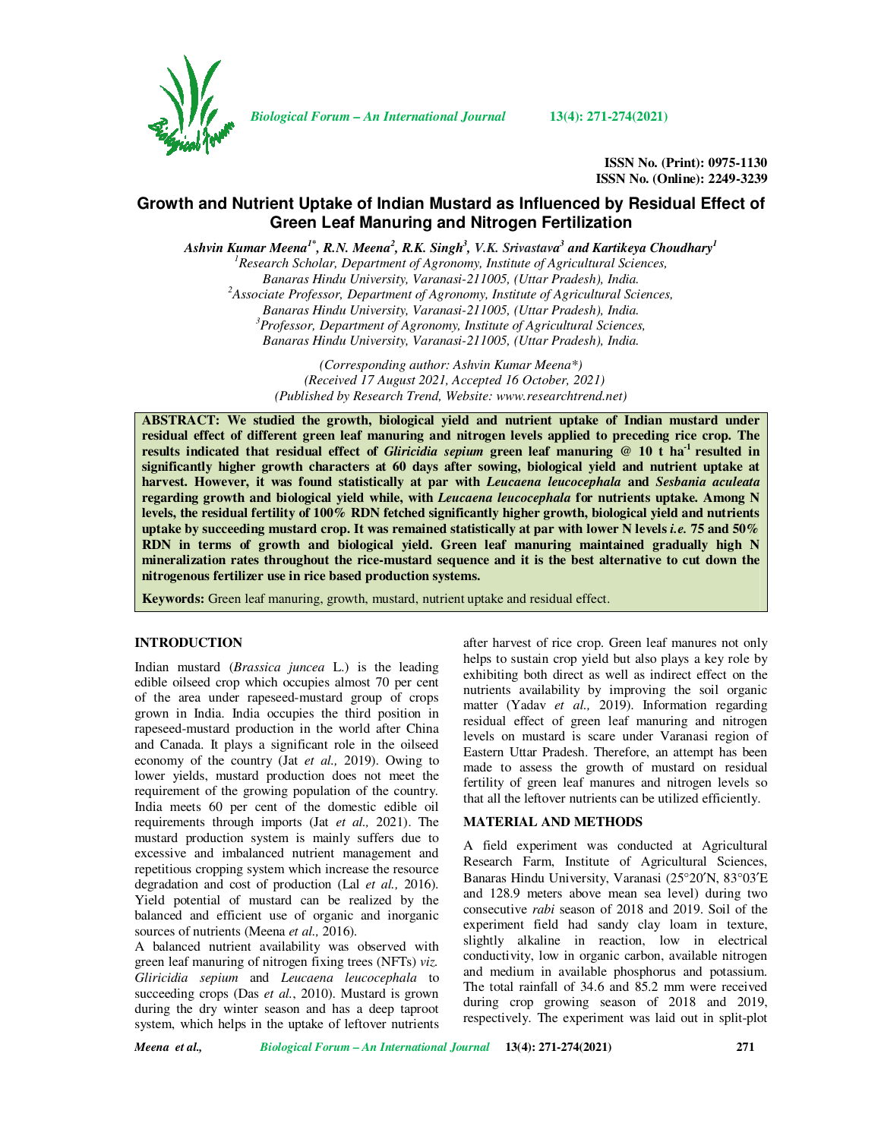

*Biological Forum – An International Journal* **13(4): 271-274(2021)**

**ISSN No. (Print): 0975-1130 ISSN No. (Online): 2249-3239** 

# **Growth and Nutrient Uptake of Indian Mustard as Influenced by Residual Effect of Green Leaf Manuring and Nitrogen Fertilization**

Ashvin Kumar Meena<sup>1\*</sup>, R.N. Meena<sup>2</sup>, R.K. Singh<sup>3</sup>, V.K. Srivastava<sup>3</sup> and Kartikeya Choudhary<sup>1</sup>

*<sup>1</sup>Research Scholar, Department of Agronomy, Institute of Agricultural Sciences, Banaras Hindu University, Varanasi-211005, (Uttar Pradesh), India. <sup>2</sup>Associate Professor, Department of Agronomy, Institute of Agricultural Sciences, Banaras Hindu University, Varanasi-211005, (Uttar Pradesh), India. <sup>3</sup>Professor, Department of Agronomy, Institute of Agricultural Sciences, Banaras Hindu University, Varanasi-211005, (Uttar Pradesh), India.* 

> *(Corresponding author: Ashvin Kumar Meena\*) (Received 17 August 2021, Accepted 16 October, 2021) (Published by Research Trend, Website: www.researchtrend.net)*

**ABSTRACT: We studied the growth, biological yield and nutrient uptake of Indian mustard under residual effect of different green leaf manuring and nitrogen levels applied to preceding rice crop. The results indicated that residual effect of** *Gliricidia sepium* **green leaf manuring @ 10 t ha-1 resulted in significantly higher growth characters at 60 days after sowing, biological yield and nutrient uptake at harvest. However, it was found statistically at par with** *Leucaena leucocephala* **and** *Sesbania aculeata* **regarding growth and biological yield while, with** *Leucaena leucocephala* **for nutrients uptake. Among N levels, the residual fertility of 100% RDN fetched significantly higher growth, biological yield and nutrients uptake by succeeding mustard crop. It was remained statistically at par with lower N levels** *i.e.* **75 and 50% RDN in terms of growth and biological yield. Green leaf manuring maintained gradually high N mineralization rates throughout the rice-mustard sequence and it is the best alternative to cut down the nitrogenous fertilizer use in rice based production systems.** 

**Keywords:** Green leaf manuring, growth, mustard, nutrient uptake and residual effect.

#### **INTRODUCTION**

Indian mustard (*Brassica juncea* L.) is the leading edible oilseed crop which occupies almost 70 per cent of the area under rapeseed-mustard group of crops grown in India. India occupies the third position in rapeseed-mustard production in the world after China and Canada. It plays a significant role in the oilseed economy of the country (Jat *et al.,* 2019). Owing to lower yields, mustard production does not meet the requirement of the growing population of the country. India meets 60 per cent of the domestic edible oil requirements through imports (Jat *et al.,* 2021). The mustard production system is mainly suffers due to excessive and imbalanced nutrient management and repetitious cropping system which increase the resource degradation and cost of production (Lal *et al.,* 2016). Yield potential of mustard can be realized by the balanced and efficient use of organic and inorganic sources of nutrients (Meena *et al.,* 2016).

A balanced nutrient availability was observed with green leaf manuring of nitrogen fixing trees (NFTs) *viz. Gliricidia sepium* and *Leucaena leucocephala* to succeeding crops (Das *et al.*, 2010). Mustard is grown during the dry winter season and has a deep taproot system, which helps in the uptake of leftover nutrients

after harvest of rice crop. Green leaf manures not only helps to sustain crop yield but also plays a key role by exhibiting both direct as well as indirect effect on the nutrients availability by improving the soil organic matter (Yadav *et al.,* 2019). Information regarding residual effect of green leaf manuring and nitrogen levels on mustard is scare under Varanasi region of Eastern Uttar Pradesh. Therefore, an attempt has been made to assess the growth of mustard on residual fertility of green leaf manures and nitrogen levels so that all the leftover nutrients can be utilized efficiently.

## **MATERIAL AND METHODS**

A field experiment was conducted at Agricultural Research Farm, Institute of Agricultural Sciences, Banaras Hindu University, Varanasi (25°20′N, 83°03′E and 128.9 meters above mean sea level) during two consecutive *rabi* season of 2018 and 2019. Soil of the experiment field had sandy clay loam in texture, slightly alkaline in reaction, low in electrical conductivity, low in organic carbon, available nitrogen and medium in available phosphorus and potassium. The total rainfall of 34.6 and 85.2 mm were received during crop growing season of 2018 and 2019, respectively. The experiment was laid out in split-plot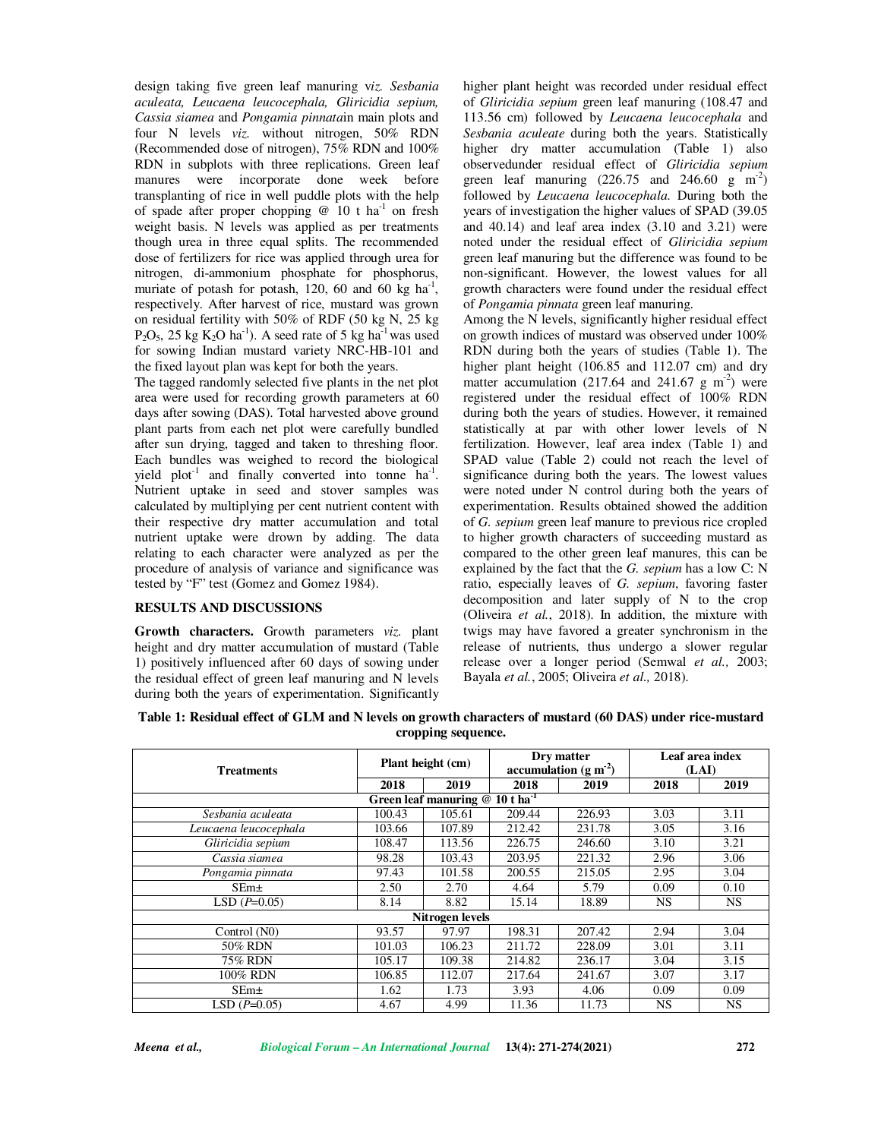design taking five green leaf manuring v*iz. Sesbania aculeata, Leucaena leucocephala, Gliricidia sepium, Cassia siamea* and *Pongamia pinnata*in main plots and four N levels *viz.* without nitrogen, 50% RDN (Recommended dose of nitrogen), 75% RDN and 100% RDN in subplots with three replications. Green leaf manures were incorporate done week before transplanting of rice in well puddle plots with the help of spade after proper chopping  $@$  10 t ha<sup>-1</sup> on fresh weight basis. N levels was applied as per treatments though urea in three equal splits. The recommended dose of fertilizers for rice was applied through urea for nitrogen, di-ammonium phosphate for phosphorus, muriate of potash for potash,  $120$ , 60 and 60 kg ha<sup>-1</sup>, respectively. After harvest of rice, mustard was grown on residual fertility with 50% of RDF (50 kg N, 25 kg  $P_2O_5$ , 25 kg  $K_2O$  ha<sup>-1</sup>). A seed rate of 5 kg ha<sup>-1</sup> was used for sowing Indian mustard variety NRC-HB-101 and the fixed layout plan was kept for both the years.

The tagged randomly selected five plants in the net plot area were used for recording growth parameters at 60 days after sowing (DAS). Total harvested above ground plant parts from each net plot were carefully bundled after sun drying, tagged and taken to threshing floor. Each bundles was weighed to record the biological yield  $plot^{-1}$  and finally converted into tonne  $ha^{-1}$ . Nutrient uptake in seed and stover samples was calculated by multiplying per cent nutrient content with their respective dry matter accumulation and total nutrient uptake were drown by adding. The data relating to each character were analyzed as per the procedure of analysis of variance and significance was tested by "F" test (Gomez and Gomez 1984).

## **RESULTS AND DISCUSSIONS**

**Growth characters.** Growth parameters *viz.* plant height and dry matter accumulation of mustard (Table 1) positively influenced after 60 days of sowing under the residual effect of green leaf manuring and N levels during both the years of experimentation. Significantly

higher plant height was recorded under residual effect of *Gliricidia sepium* green leaf manuring (108.47 and 113.56 cm) followed by *Leucaena leucocephala* and *Sesbania aculeate* during both the years. Statistically higher dry matter accumulation (Table 1) also observedunder residual effect of *Gliricidia sepium* green leaf manuring  $(226.75 \text{ and } 246.60 \text{ g } \text{m}^2)$ followed by *Leucaena leucocephala.* During both the years of investigation the higher values of SPAD (39.05 and 40.14) and leaf area index (3.10 and 3.21) were noted under the residual effect of *Gliricidia sepium* green leaf manuring but the difference was found to be non-significant. However, the lowest values for all growth characters were found under the residual effect of *Pongamia pinnata* green leaf manuring.

Among the N levels, significantly higher residual effect on growth indices of mustard was observed under 100% RDN during both the years of studies (Table 1). The higher plant height (106.85 and 112.07 cm) and dry matter accumulation (217.64 and 241.67 g  $m<sup>2</sup>$ ) were registered under the residual effect of 100% RDN during both the years of studies. However, it remained statistically at par with other lower levels of N fertilization. However, leaf area index (Table 1) and SPAD value (Table 2) could not reach the level of significance during both the years. The lowest values were noted under N control during both the years of experimentation. Results obtained showed the addition of *G. sepium* green leaf manure to previous rice cropled to higher growth characters of succeeding mustard as compared to the other green leaf manures, this can be explained by the fact that the *G. sepium* has a low C: N ratio, especially leaves of *G. sepium*, favoring faster decomposition and later supply of N to the crop (Oliveira *et al.*, 2018). In addition, the mixture with twigs may have favored a greater synchronism in the release of nutrients, thus undergo a slower regular release over a longer period (Semwal *et al.,* 2003; Bayala *et al.*, 2005; Oliveira *et al.,* 2018).

| Table 1: Residual effect of GLM and N levels on growth characters of mustard (60 DAS) under rice-mustard |
|----------------------------------------------------------------------------------------------------------|
| cropping sequence.                                                                                       |

| <b>Treatments</b>                    | Plant height (cm) |        | Dry matter<br>accumulation ( $g m-2$ ) |        | Leaf area index<br>(LAI) |           |  |  |
|--------------------------------------|-------------------|--------|----------------------------------------|--------|--------------------------|-----------|--|--|
|                                      | 2018              | 2019   | 2018                                   | 2019   | 2018                     | 2019      |  |  |
| Green leaf manuring $@10t$ $ha^{-1}$ |                   |        |                                        |        |                          |           |  |  |
| Sesbania aculeata                    | 100.43            | 105.61 | 209.44                                 | 226.93 | 3.03                     | 3.11      |  |  |
| Leucaena leucocephala                | 103.66            | 107.89 | 212.42                                 | 231.78 | 3.05                     | 3.16      |  |  |
| Gliricidia sepium                    | 108.47            | 113.56 | 226.75                                 | 246.60 | 3.10                     | 3.21      |  |  |
| Cassia siamea                        | 98.28             | 103.43 | 203.95                                 | 221.32 | 2.96                     | 3.06      |  |  |
| Pongamia pinnata                     | 97.43             | 101.58 | 200.55                                 | 215.05 | 2.95                     | 3.04      |  |  |
| $SEm\pm$                             | 2.50              | 2.70   | 4.64                                   | 5.79   | 0.09                     | 0.10      |  |  |
| $LSD(P=0.05)$                        | 8.14              | 8.82   | 15.14                                  | 18.89  | <b>NS</b>                | <b>NS</b> |  |  |
| <b>Nitrogen levels</b>               |                   |        |                                        |        |                          |           |  |  |
| Control (N0)                         | 93.57             | 97.97  | 198.31                                 | 207.42 | 2.94                     | 3.04      |  |  |
| 50% RDN                              | 101.03            | 106.23 | 211.72                                 | 228.09 | 3.01                     | 3.11      |  |  |
| 75% RDN                              | 105.17            | 109.38 | 214.82                                 | 236.17 | 3.04                     | 3.15      |  |  |
| 100% RDN                             | 106.85            | 112.07 | 217.64                                 | 241.67 | 3.07                     | 3.17      |  |  |
| $SEm\pm$                             | 1.62              | 1.73   | 3.93                                   | 4.06   | 0.09                     | 0.09      |  |  |
| $LSD(P=0.05)$                        | 4.67              | 4.99   | 11.36                                  | 11.73  | <b>NS</b>                | <b>NS</b> |  |  |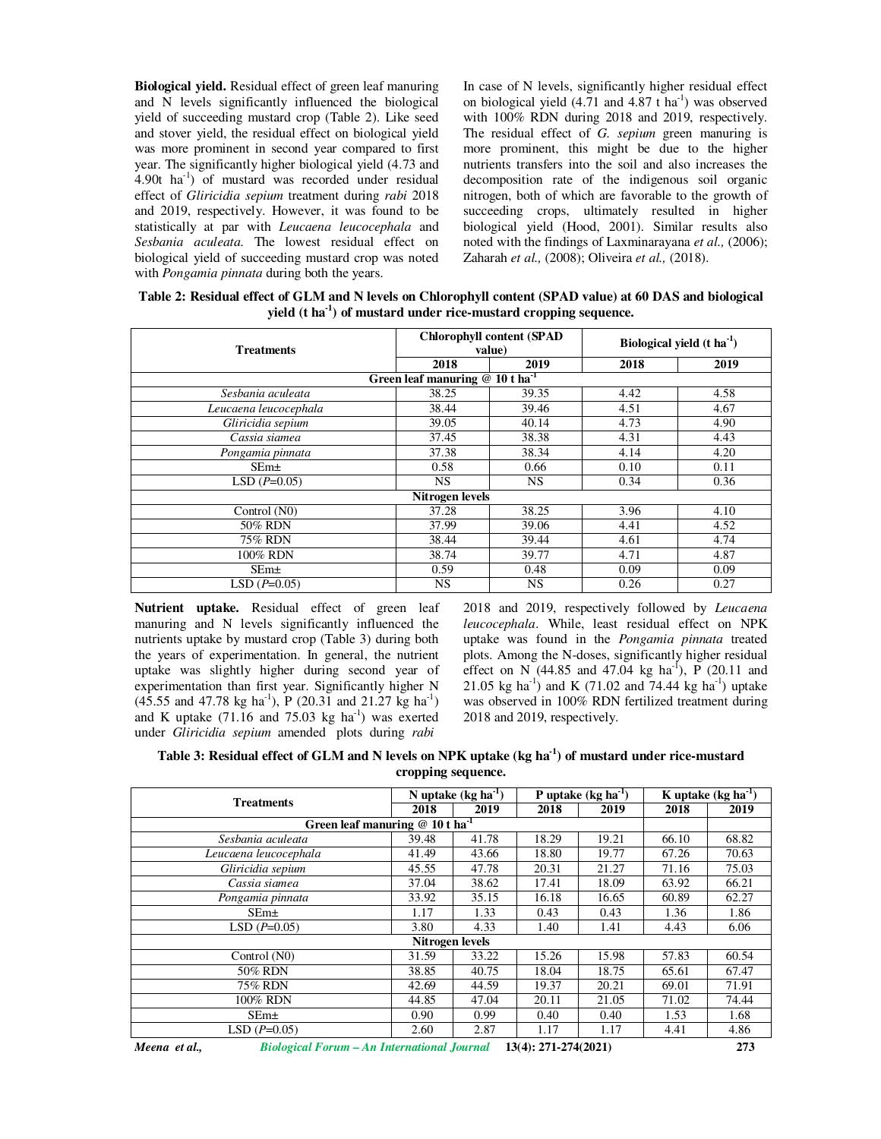**Biological yield.** Residual effect of green leaf manuring and N levels significantly influenced the biological yield of succeeding mustard crop (Table 2). Like seed and stover yield, the residual effect on biological yield was more prominent in second year compared to first year. The significantly higher biological yield (4.73 and 4.90t  $\text{ha}^{-1}$ ) of mustard was recorded under residual effect of *Gliricidia sepium* treatment during *rabi* 2018 and 2019, respectively. However, it was found to be statistically at par with *Leucaena leucocephala* and *Sesbania aculeata*. The lowest residual effect on biological yield of succeeding mustard crop was noted with *Pongamia pinnata* during both the years.

In case of N levels, significantly higher residual effect on biological yield  $(4.71 \text{ and } 4.87 \text{ t ha}^{-1})$  was observed with 100% RDN during 2018 and 2019, respectively. The residual effect of *G. sepium* green manuring is more prominent, this might be due to the higher nutrients transfers into the soil and also increases the decomposition rate of the indigenous soil organic nitrogen, both of which are favorable to the growth of succeeding crops, ultimately resulted in higher biological yield (Hood, 2001). Similar results also noted with the findings of Laxminarayana *et al.,* (2006); Zaharah *et al.,* (2008); Oliveira *et al.,* (2018).

**Table 2: Residual effect of GLM and N levels on Chlorophyll content (SPAD value) at 60 DAS and biological yield (t ha-1) of mustard under rice-mustard cropping sequence.** 

| <b>Treatments</b>                            |           | <b>Chlorophyll content (SPAD</b><br>value) | Biological yield $(t \text{ ha}^{-1})$ |      |  |  |  |
|----------------------------------------------|-----------|--------------------------------------------|----------------------------------------|------|--|--|--|
|                                              | 2018      | 2019                                       | 2018                                   | 2019 |  |  |  |
| Green leaf manuring $@10$ t ha <sup>-1</sup> |           |                                            |                                        |      |  |  |  |
| Sesbania aculeata                            | 38.25     | 39.35                                      | 4.42                                   | 4.58 |  |  |  |
| Leucaena leucocephala                        | 38.44     | 39.46                                      | 4.51                                   | 4.67 |  |  |  |
| Gliricidia sepium                            | 39.05     | 40.14                                      | 4.73                                   | 4.90 |  |  |  |
| Cassia siamea                                | 37.45     | 38.38                                      | 4.31                                   | 4.43 |  |  |  |
| Pongamia pinnata                             | 37.38     | 38.34                                      | 4.14                                   | 4.20 |  |  |  |
| SEm <sub>±</sub>                             | 0.58      | 0.66                                       | 0.10                                   | 0.11 |  |  |  |
| $LSD(P=0.05)$                                | NS.       | <b>NS</b>                                  | 0.34                                   | 0.36 |  |  |  |
| Nitrogen levels                              |           |                                            |                                        |      |  |  |  |
| Control (N0)                                 | 37.28     | 38.25                                      | 3.96                                   | 4.10 |  |  |  |
| 50% RDN                                      | 37.99     | 39.06                                      | 4.41                                   | 4.52 |  |  |  |
| 75% RDN                                      | 38.44     | 39.44                                      | 4.61                                   | 4.74 |  |  |  |
| 100% RDN                                     | 38.74     | 39.77                                      | 4.71                                   | 4.87 |  |  |  |
| SEm <sub>±</sub>                             | 0.59      | 0.48                                       | 0.09                                   | 0.09 |  |  |  |
| $LSD(P=0.05)$                                | <b>NS</b> | <b>NS</b>                                  | 0.26                                   | 0.27 |  |  |  |

**Nutrient uptake.** Residual effect of green leaf manuring and N levels significantly influenced the nutrients uptake by mustard crop (Table 3) during both the years of experimentation. In general, the nutrient uptake was slightly higher during second year of experimentation than first year. Significantly higher N  $(45.55 \text{ and } 47.78 \text{ kg ha}^{-1})$ , P  $(20.31 \text{ and } 21.27 \text{ kg ha}^{-1})$ and K uptake  $(71.16 \text{ and } 75.03 \text{ kg } \text{ha}^{-1})$  was exerted under *Gliricidia sepium* amended plots during *rabi* 

2018 and 2019, respectively followed by *Leucaena leucocephala*. While, least residual effect on NPK uptake was found in the *Pongamia pinnata* treated plots. Among the N-doses, significantly higher residual effect on N (44.85 and 47.04 kg ha<sup>-1</sup>), P (20.11 and 21.05 kg ha<sup>-1</sup>) and K (71.02 and 74.44 kg ha<sup>-1</sup>) uptake was observed in 100% RDN fertilized treatment during 2018 and 2019, respectively.

| Table 3: Residual effect of GLM and N levels on NPK uptake (kg ha <sup>-1</sup> ) of mustard under rice-mustard |
|-----------------------------------------------------------------------------------------------------------------|
| cropping sequence.                                                                                              |

| <b>Treatments</b>                            |       | N uptake $(kg ha-1)$ | P uptake $(kg ha-1)$ |       | K uptake $(kg ha^{-1})$ |       |  |
|----------------------------------------------|-------|----------------------|----------------------|-------|-------------------------|-------|--|
|                                              | 2018  | 2019                 | 2018                 | 2019  | 2018                    | 2019  |  |
| Green leaf manuring $@10$ t ha <sup>-1</sup> |       |                      |                      |       |                         |       |  |
| Sesbania aculeata                            | 39.48 | 41.78                | 18.29                | 19.21 | 66.10                   | 68.82 |  |
| Leucaena leucocephala                        | 41.49 | 43.66                | 18.80                | 19.77 | 67.26                   | 70.63 |  |
| Gliricidia sepium                            | 45.55 | 47.78                | 20.31                | 21.27 | 71.16                   | 75.03 |  |
| Cassia siamea                                | 37.04 | 38.62                | 17.41                | 18.09 | 63.92                   | 66.21 |  |
| Pongamia pinnata                             | 33.92 | 35.15                | 16.18                | 16.65 | 60.89                   | 62.27 |  |
| $SEm+$                                       | 1.17  | 1.33                 | 0.43                 | 0.43  | 1.36                    | 1.86  |  |
| $LSD(P=0.05)$                                | 3.80  | 4.33                 | 1.40                 | 1.41  | 4.43                    | 6.06  |  |
| Nitrogen levels                              |       |                      |                      |       |                         |       |  |
| Control (N0)                                 | 31.59 | 33.22                | 15.26                | 15.98 | 57.83                   | 60.54 |  |
| 50% RDN                                      | 38.85 | 40.75                | 18.04                | 18.75 | 65.61                   | 67.47 |  |
| <b>75% RDN</b>                               | 42.69 | 44.59                | 19.37                | 20.21 | 69.01                   | 71.91 |  |
| 100% RDN                                     | 44.85 | 47.04                | 20.11                | 21.05 | 71.02                   | 74.44 |  |
| $SEm+$                                       | 0.90  | 0.99                 | 0.40                 | 0.40  | 1.53                    | 1.68  |  |
| $LSD(P=0.05)$                                | 2.60  | 2.87                 | 1.17                 | 1.17  | 4.41                    | 4.86  |  |
|                                              |       |                      |                      |       |                         |       |  |

*Meena et al., Biological Forum – An International Journal* **13(4): 271-274(2021) 273**